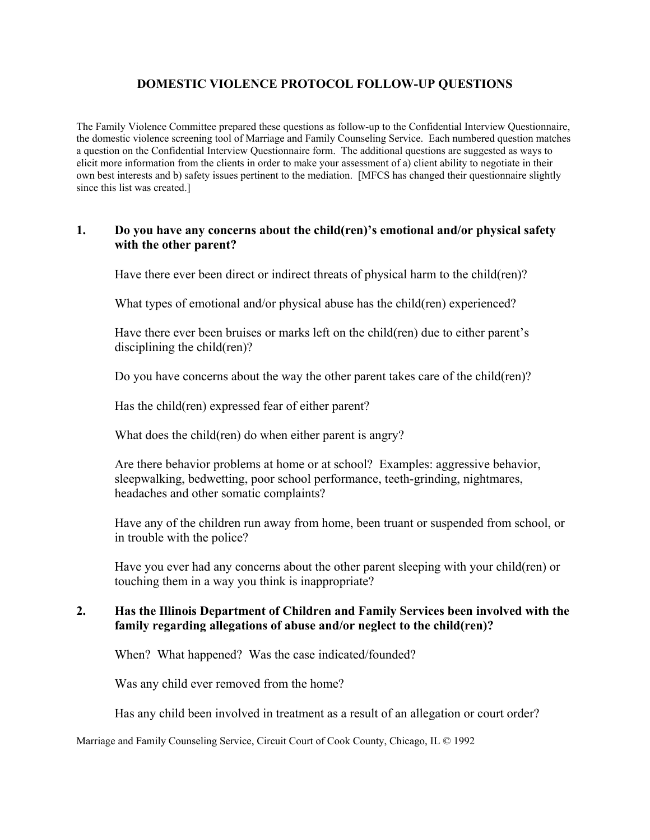# **DOMESTIC VIOLENCE PROTOCOL FOLLOW-UP QUESTIONS**

The Family Violence Committee prepared these questions as follow-up to the Confidential Interview Questionnaire, the domestic violence screening tool of Marriage and Family Counseling Service. Each numbered question matches a question on the Confidential Interview Questionnaire form. The additional questions are suggested as ways to elicit more information from the clients in order to make your assessment of a) client ability to negotiate in their own best interests and b) safety issues pertinent to the mediation. [MFCS has changed their questionnaire slightly since this list was created.]

#### **1. Do you have any concerns about the child(ren)'s emotional and/or physical safety with the other parent?**

Have there ever been direct or indirect threats of physical harm to the child(ren)?

What types of emotional and/or physical abuse has the child(ren) experienced?

Have there ever been bruises or marks left on the child(ren) due to either parent's disciplining the child(ren)?

Do you have concerns about the way the other parent takes care of the child(ren)?

Has the child(ren) expressed fear of either parent?

What does the child(ren) do when either parent is angry?

Are there behavior problems at home or at school? Examples: aggressive behavior, sleepwalking, bedwetting, poor school performance, teeth-grinding, nightmares, headaches and other somatic complaints?

Have any of the children run away from home, been truant or suspended from school, or in trouble with the police?

Have you ever had any concerns about the other parent sleeping with your child(ren) or touching them in a way you think is inappropriate?

#### **2. Has the Illinois Department of Children and Family Services been involved with the family regarding allegations of abuse and/or neglect to the child(ren)?**

When? What happened? Was the case indicated/founded?

Was any child ever removed from the home?

Has any child been involved in treatment as a result of an allegation or court order?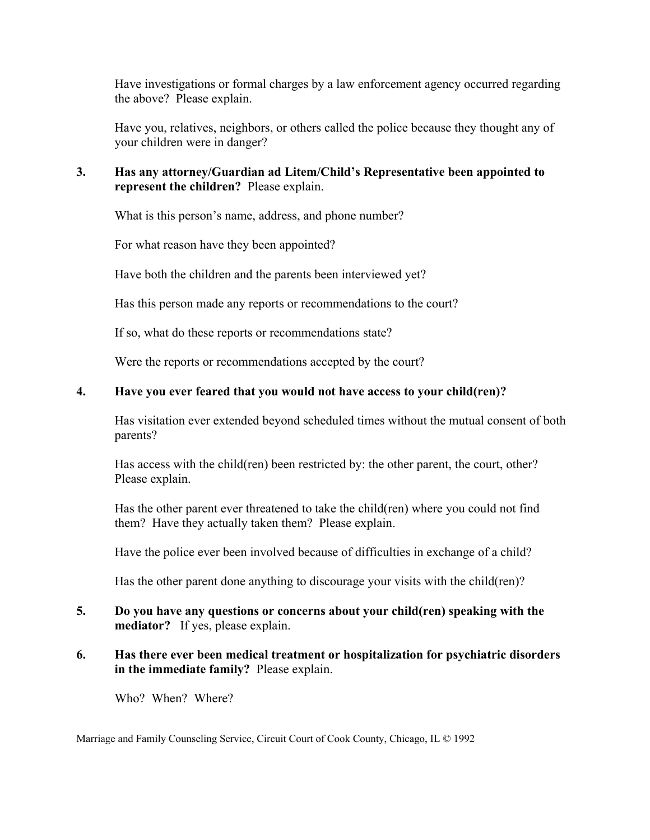Have investigations or formal charges by a law enforcement agency occurred regarding the above? Please explain.

Have you, relatives, neighbors, or others called the police because they thought any of your children were in danger?

# **3. Has any attorney/Guardian ad Litem/Child's Representative been appointed to represent the children?** Please explain.

What is this person's name, address, and phone number?

For what reason have they been appointed?

Have both the children and the parents been interviewed yet?

Has this person made any reports or recommendations to the court?

If so, what do these reports or recommendations state?

Were the reports or recommendations accepted by the court?

#### **4. Have you ever feared that you would not have access to your child(ren)?**

Has visitation ever extended beyond scheduled times without the mutual consent of both parents?

Has access with the child(ren) been restricted by: the other parent, the court, other? Please explain.

Has the other parent ever threatened to take the child(ren) where you could not find them? Have they actually taken them? Please explain.

Have the police ever been involved because of difficulties in exchange of a child?

Has the other parent done anything to discourage your visits with the child(ren)?

#### **5. Do you have any questions or concerns about your child(ren) speaking with the mediator?** If yes, please explain.

# **6. Has there ever been medical treatment or hospitalization for psychiatric disorders in the immediate family?** Please explain.

Who? When? Where?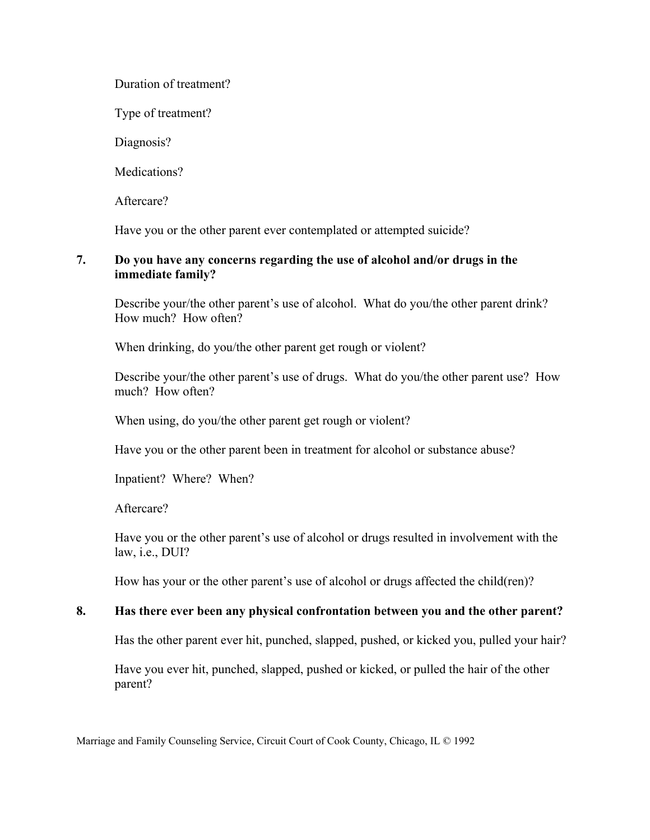### Duration of treatment?

Type of treatment?

Diagnosis?

Medications?

Aftercare?

Have you or the other parent ever contemplated or attempted suicide?

### **7. Do you have any concerns regarding the use of alcohol and/or drugs in the immediate family?**

Describe your/the other parent's use of alcohol. What do you/the other parent drink? How much? How often?

When drinking, do you/the other parent get rough or violent?

Describe your/the other parent's use of drugs. What do you/the other parent use? How much? How often?

When using, do you/the other parent get rough or violent?

Have you or the other parent been in treatment for alcohol or substance abuse?

Inpatient? Where? When?

Aftercare?

Have you or the other parent's use of alcohol or drugs resulted in involvement with the law, i.e., DUI?

How has your or the other parent's use of alcohol or drugs affected the child(ren)?

# **8. Has there ever been any physical confrontation between you and the other parent?**

Has the other parent ever hit, punched, slapped, pushed, or kicked you, pulled your hair?

Have you ever hit, punched, slapped, pushed or kicked, or pulled the hair of the other parent?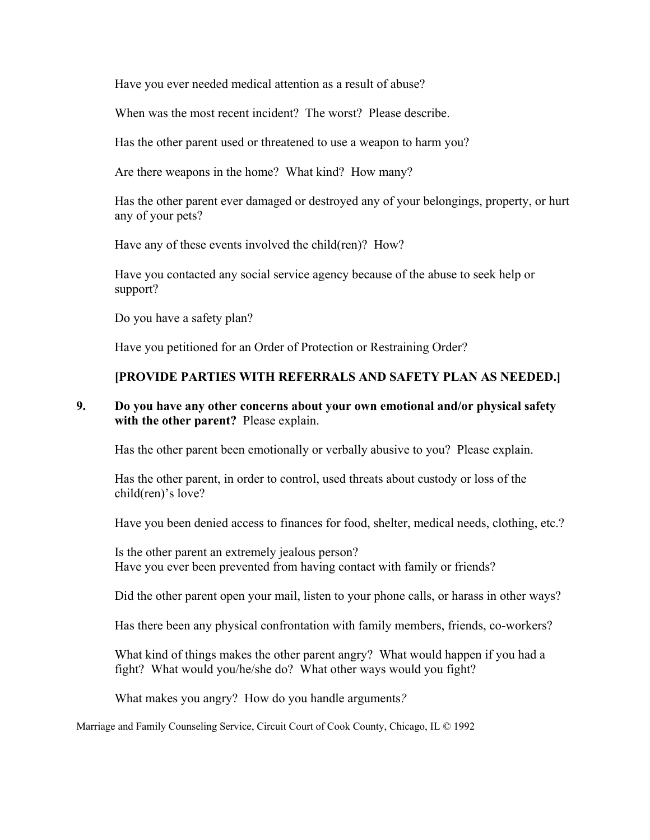Have you ever needed medical attention as a result of abuse?

When was the most recent incident? The worst? Please describe.

Has the other parent used or threatened to use a weapon to harm you?

Are there weapons in the home? What kind? How many?

Has the other parent ever damaged or destroyed any of your belongings, property, or hurt any of your pets?

Have any of these events involved the child(ren)? How?

Have you contacted any social service agency because of the abuse to seek help or support?

Do you have a safety plan?

Have you petitioned for an Order of Protection or Restraining Order?

# **[PROVIDE PARTIES WITH REFERRALS AND SAFETY PLAN AS NEEDED.]**

### **9. Do you have any other concerns about your own emotional and/or physical safety with the other parent?** Please explain.

Has the other parent been emotionally or verbally abusive to you? Please explain.

Has the other parent, in order to control, used threats about custody or loss of the child(ren)'s love?

Have you been denied access to finances for food, shelter, medical needs, clothing, etc.?

Is the other parent an extremely jealous person? Have you ever been prevented from having contact with family or friends?

Did the other parent open your mail, listen to your phone calls, or harass in other ways?

Has there been any physical confrontation with family members, friends, co-workers?

What kind of things makes the other parent angry? What would happen if you had a fight? What would you/he/she do? What other ways would you fight?

What makes you angry? How do you handle arguments*?*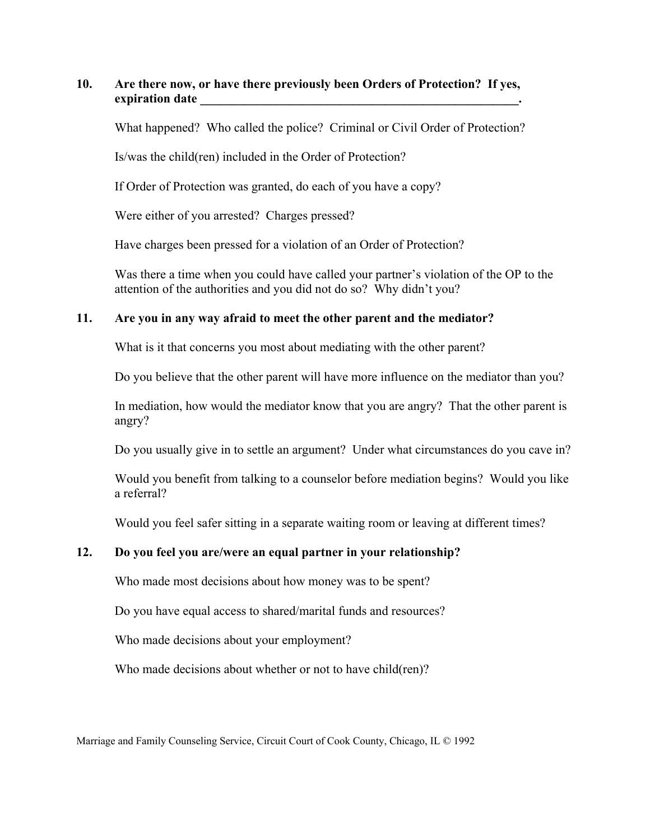#### **10. Are there now, or have there previously been Orders of Protection? If yes, expiration date**

What happened? Who called the police? Criminal or Civil Order of Protection?

Is/was the child(ren) included in the Order of Protection?

If Order of Protection was granted, do each of you have a copy?

Were either of you arrested? Charges pressed?

Have charges been pressed for a violation of an Order of Protection?

Was there a time when you could have called your partner's violation of the OP to the attention of the authorities and you did not do so? Why didn't you?

#### **11. Are you in any way afraid to meet the other parent and the mediator?**

What is it that concerns you most about mediating with the other parent?

Do you believe that the other parent will have more influence on the mediator than you?

In mediation, how would the mediator know that you are angry? That the other parent is angry?

Do you usually give in to settle an argument? Under what circumstances do you cave in?

Would you benefit from talking to a counselor before mediation begins? Would you like a referral?

Would you feel safer sitting in a separate waiting room or leaving at different times?

# **12. Do you feel you are/were an equal partner in your relationship?**

Who made most decisions about how money was to be spent?

Do you have equal access to shared/marital funds and resources?

Who made decisions about your employment?

Who made decisions about whether or not to have child(ren)?